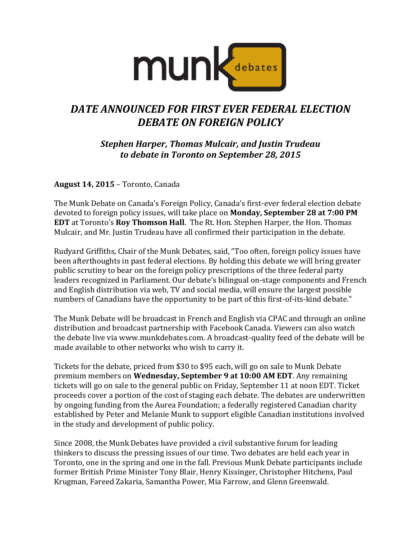

## *DATE ANNOUNCED FOR FIRST EVER FEDERAL ELECTION DEBATE ON FOREIGN POLICY*

*Stephen Harper, Thomas Mulcair, and Justin Trudeau to debate in Toronto on September 28, 2015*

**August 14, 2015** – Toronto, Canada

The Munk Debate on Canada's Foreign Policy, Canada's first-ever federal election debate devoted to foreign policy issues, will take place on **Monday, September 28 at 7:00 PM EDT** at Toronto's **Roy Thomson Hall**. The Rt. Hon. Stephen Harper, the Hon. Thomas Mulcair, and Mr. Justin Trudeau have all confirmed their participation in the debate.

Rudyard Griffiths, Chair of the Munk Debates, said, "Too often, foreign policy issues have been afterthoughts in past federal elections. By holding this debate we will bring greater public scrutiny to bear on the foreign policy prescriptions of the three federal party leaders recognized in Parliament. Our debate's bilingual on-stage components and French and English distribution via web, TV and social media, will ensure the largest possible numbers of Canadians have the opportunity to be part of this first-of-its-kind debate."

The Munk Debate will be broadcast in French and English via CPAC and through an online distribution and broadcast partnership with Facebook Canada. Viewers can also watch the debate live via www.munkdebates.com. A broadcast-quality feed of the debate will be made available to other networks who wish to carry it.

Tickets for the debate, priced from \$30 to \$95 each, will go on sale to Munk Debate premium members on **Wednesday, September 9 at 10:00 AM EDT**. Any remaining tickets will go on sale to the general public on Friday, September 11 at noon EDT. Ticket proceeds cover a portion of the cost of staging each debate. The debates are underwritten by ongoing funding from the Aurea Foundation; a federally registered Canadian charity established by Peter and Melanie Munk to support eligible Canadian institutions involved in the study and development of public policy.

Since 2008, the Munk Debates have provided a civil substantive forum for leading thinkers to discuss the pressing issues of our time. Two debates are held each year in Toronto, one in the spring and one in the fall. Previous Munk Debate participants include former British Prime Minister Tony Blair, Henry Kissinger, Christopher Hitchens, Paul Krugman, Fareed Zakaria, Samantha Power, Mia Farrow, and Glenn Greenwald.